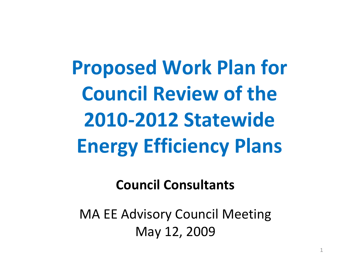**Proposed Work Plan for Council Review of the 2010‐2012 Statewide Energy Efficiency Plans**

**Council Consultants**

MA EE Advisory Council Meeting May 12, 2009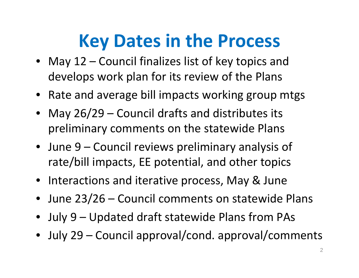## **Key Dates in the Process**

- May 12 Council finalizes list of key topics and develops work plan for its review of the Plans
- Rate and average bill impacts working group mtgs
- May 26/29 Council drafts and distributes its preliminary comments on the statewide Plans
- June 9 Council reviews preliminary analysis of rate/bill impacts, EE potential, and other topics
- Interactions and iterative process, May & June
- •June 23/26 – Council comments on statewide Plans
- •July 9 – Updated draft statewide Plans from PAs
- July 29 Council approval/cond. approval/comments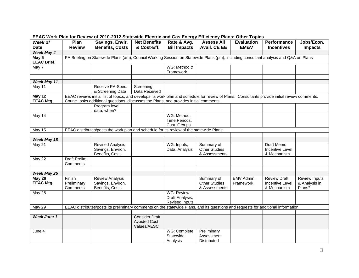| Week of                     | Plan                                                                                                                                                                                                                                     | Savings, Envir.                                                                                                                   | <b>Net Benefits</b>                                         | Rate & Avg.                                                   | <b>Assess All</b>                                   | <b>Evaluation</b>       | Performance                                                  | Jobs/Econ.                                      |  |
|-----------------------------|------------------------------------------------------------------------------------------------------------------------------------------------------------------------------------------------------------------------------------------|-----------------------------------------------------------------------------------------------------------------------------------|-------------------------------------------------------------|---------------------------------------------------------------|-----------------------------------------------------|-------------------------|--------------------------------------------------------------|-------------------------------------------------|--|
| <b>Date</b>                 | <b>Review</b>                                                                                                                                                                                                                            | <b>Benefits, Costs</b>                                                                                                            | & Cost-Eff.                                                 | <b>Bill Impacts</b>                                           | <b>Avail. CE EE</b>                                 | EM&V                    | <b>Incentives</b>                                            | <b>Impacts</b>                                  |  |
| Week May 4                  |                                                                                                                                                                                                                                          |                                                                                                                                   |                                                             |                                                               |                                                     |                         |                                                              |                                                 |  |
| May 5<br><b>EEAC Brief.</b> | PA Briefing on Statewide Plans (am); Council Working Session on Statewide Plans (pm), including consultant analysis and Q&A on Plans                                                                                                     |                                                                                                                                   |                                                             |                                                               |                                                     |                         |                                                              |                                                 |  |
| May 7                       |                                                                                                                                                                                                                                          |                                                                                                                                   |                                                             | WG: Method &<br>Framework                                     |                                                     |                         |                                                              |                                                 |  |
|                             |                                                                                                                                                                                                                                          |                                                                                                                                   |                                                             |                                                               |                                                     |                         |                                                              |                                                 |  |
| Week May 11                 |                                                                                                                                                                                                                                          |                                                                                                                                   |                                                             |                                                               |                                                     |                         |                                                              |                                                 |  |
| May 11                      |                                                                                                                                                                                                                                          | Receive PA-Spec.<br>& Screening Data                                                                                              | Screening<br>Data Received                                  |                                                               |                                                     |                         |                                                              |                                                 |  |
| May 12<br><b>EEAC Mtg.</b>  | EEAC reviews initial list of topics, and develops its work plan and schedule for review of Plans. Consultants provide initial review comments.<br>Council asks additional questions, discusses the Plans, and provides initial comments. |                                                                                                                                   |                                                             |                                                               |                                                     |                         |                                                              |                                                 |  |
|                             |                                                                                                                                                                                                                                          | Program level<br>data, when?                                                                                                      |                                                             |                                                               |                                                     |                         |                                                              |                                                 |  |
| May 14                      |                                                                                                                                                                                                                                          |                                                                                                                                   |                                                             | WG: Method,<br>Time Periods,<br>Cust. Groups                  |                                                     |                         |                                                              |                                                 |  |
| May 15                      | EEAC distributes/posts the work plan and schedule for its review of the statewide Plans                                                                                                                                                  |                                                                                                                                   |                                                             |                                                               |                                                     |                         |                                                              |                                                 |  |
|                             |                                                                                                                                                                                                                                          |                                                                                                                                   |                                                             |                                                               |                                                     |                         |                                                              |                                                 |  |
| <b>Week May 18</b>          |                                                                                                                                                                                                                                          |                                                                                                                                   |                                                             |                                                               |                                                     |                         |                                                              |                                                 |  |
| May 21                      |                                                                                                                                                                                                                                          | <b>Revised Analysis</b><br>Savings, Environ.<br>Benefits, Costs                                                                   |                                                             | WG: Inputs,<br>Data, Analysis                                 | Summary of<br><b>Other Studies</b><br>& Assessments |                         | <b>Draft Memo</b><br><b>Incentive Level</b><br>& Mechanism   |                                                 |  |
| May 22                      | Draft Prelim.<br>Comments                                                                                                                                                                                                                |                                                                                                                                   |                                                             |                                                               |                                                     |                         |                                                              |                                                 |  |
| Week May 25                 |                                                                                                                                                                                                                                          |                                                                                                                                   |                                                             |                                                               |                                                     |                         |                                                              |                                                 |  |
| May 26<br><b>EEAC Mtg.</b>  | Finish<br>Preliminary<br>Comments                                                                                                                                                                                                        | <b>Review Analysis</b><br>Savings, Environ.<br>Benefits, Costs                                                                    |                                                             |                                                               | Summary of<br><b>Other Studies</b><br>& Assessments | EMV Admin.<br>Framework | <b>Review Draft</b><br><b>Incentive Level</b><br>& Mechanism | <b>Review Inputs</b><br>& Analysis in<br>Plans? |  |
| May 28                      |                                                                                                                                                                                                                                          |                                                                                                                                   |                                                             | <b>WG: Review</b><br>Draft Analysis,<br><b>Revised Inputs</b> |                                                     |                         |                                                              |                                                 |  |
| May 29                      |                                                                                                                                                                                                                                          | EEAC distributes/posts its preliminary comments on the statewide Plans, and its questions and requests for additional information |                                                             |                                                               |                                                     |                         |                                                              |                                                 |  |
|                             |                                                                                                                                                                                                                                          |                                                                                                                                   |                                                             |                                                               |                                                     |                         |                                                              |                                                 |  |
| <b>Week June 1</b>          |                                                                                                                                                                                                                                          |                                                                                                                                   | <b>Consider Draft</b><br><b>Avoided Cost</b><br>Values/AESC |                                                               |                                                     |                         |                                                              |                                                 |  |
| June 4                      |                                                                                                                                                                                                                                          |                                                                                                                                   |                                                             | WG: Complete<br>Statewide<br>Analysis                         | Preliminary<br>Assessment<br><b>Distributed</b>     |                         |                                                              |                                                 |  |

## **EEAC Work Plan for Review of 2010-2012 Statewide Electric and Gas Energy Efficiency Plans: Other Topics**